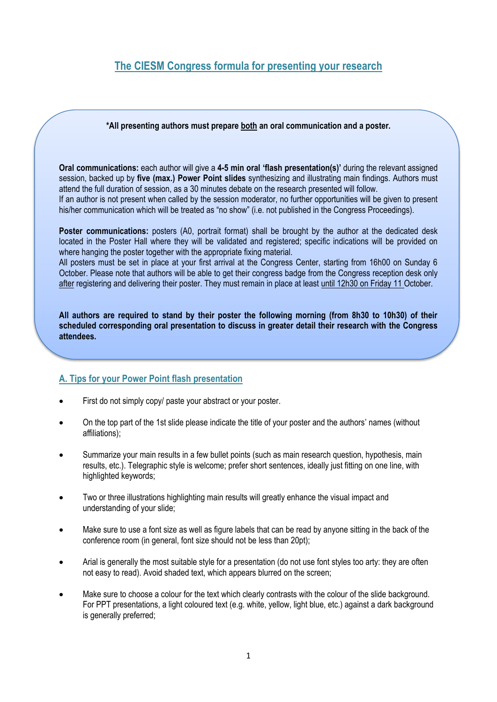## **The CIESM Congress formula for presenting your research**

## **\*All presenting authors must prepare both an oral communication and a poster.**

**Oral communications:** each author will give a **4-5 min oral 'flash presentation(s)'** during the relevant assigned session, backed up by **five (max.) Power Point slides** synthesizing and illustrating main findings. Authors must attend the full duration of session, as a 30 minutes debate on the research presented will follow.

If an author is not present when called by the session moderator, no further opportunities will be given to present his/her communication which will be treated as "no show" (i.e. not published in the Congress Proceedings).

**Poster communications:** posters (A0, portrait format) shall be brought by the author at the dedicated desk located in the Poster Hall where they will be validated and registered; specific indications will be provided on where hanging the poster together with the appropriate fixing material.

All posters must be set in place at your first arrival at the Congress Center, starting from 16h00 on Sunday 6 October. Please note that authors will be able to get their congress badge from the Congress reception desk only after registering and delivering their poster. They must remain in place at least until 12h30 on Friday 11 October.

**All authors are required to stand by their poster the following morning (from 8h30 to 10h30) of their scheduled corresponding oral presentation to discuss in greater detail their research with the Congress attendees.**

## **A. Tips for your Power Point flash presentation**

- First do not simply copy/ paste your abstract or your poster.
- On the top part of the 1st slide please indicate the title of your poster and the authors' names (without affiliations);
- Summarize your main results in a few bullet points (such as main research question, hypothesis, main results, etc.). Telegraphic style is welcome; prefer short sentences, ideally just fitting on one line, with highlighted keywords;
- Two or three illustrations highlighting main results will greatly enhance the visual impact and understanding of your slide;
- Make sure to use a font size as well as figure labels that can be read by anyone sitting in the back of the conference room (in general, font size should not be less than 20pt);
- Arial is generally the most suitable style for a presentation (do not use font styles too arty: they are often not easy to read). Avoid shaded text, which appears blurred on the screen;
- Make sure to choose a colour for the text which clearly contrasts with the colour of the slide background. For PPT presentations, a light coloured text (e.g. white, yellow, light blue, etc.) against a dark background is generally preferred: